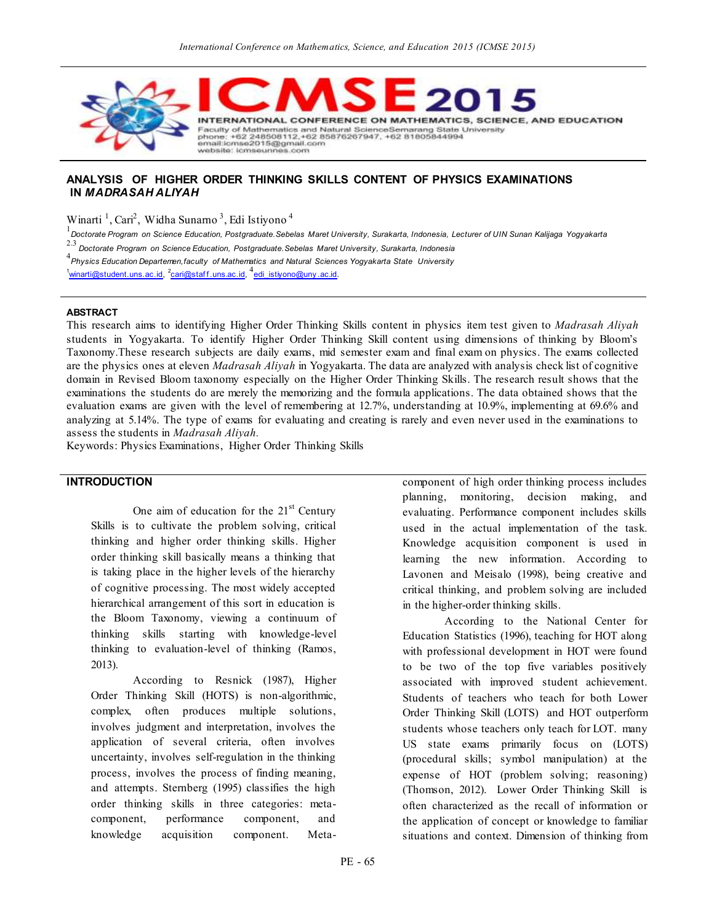

### **ANALYSIS OF HIGHER ORDER THINKING SKILLS CONTENT OF PHYSICS EXAMINATIONS IN** *MADRASAH ALIYAH*

Winarti<sup>1</sup>, Cari<sup>2</sup>, Widha Sunarno<sup>3</sup>, Edi Istiyono<sup>4</sup>

1 *Doctorate Program on Science Education, Postgraduate.Sebelas Maret University, Surakarta, Indonesia, Lecturer of UIN Sunan Kalijaga Yogyakarta* 2.3 *Doctorate Program on Science Education, Postgraduate.Sebelas Maret University, Surakarta, Indonesia*

4 *Physics Education Departemen,faculty of Mathematics and Natural Sciences Yogyakarta State University* 

<sup>1</sup>[winarti@student.uns.ac.id,](mailto:winarti@student.uns.ac.id) <sup>2</sup>cari@staff.uns.ac.id, <sup>4</sup>edi\_istiyono@uny.ac.id.

#### **ABSTRACT**

This research aims to identifying Higher Order Thinking Skills content in physics item test given to *Madrasah Aliyah* students in Yogyakarta. To identify Higher Order Thinking Skill content using dimensions of thinking by Bloom's Taxonomy.These research subjects are daily exams, mid semester exam and final exam on physics. The exams collected are the physics ones at eleven *Madrasah Aliyah* in Yogyakarta. The data are analyzed with analysis check list of cognitive domain in Revised Bloom taxonomy especially on the Higher Order Thinking Skills. The research result shows that the examinations the students do are merely the memorizing and the formula applications. The data obtained shows that the evaluation exams are given with the level of remembering at 12.7%, understanding at 10.9%, implementing at 69.6% and analyzing at 5.14%. The type of exams for evaluating and creating is rarely and even never used in the examinations to assess the students in *Madrasah Aliyah.*

Keywords: Physics Examinations, Higher Order Thinking Skills

## **INTRODUCTION**

One aim of education for the  $21<sup>st</sup>$  Century Skills is to cultivate the problem solving, critical thinking and higher order thinking skills. Higher order thinking skill basically means a thinking that is taking place in the higher levels of the hierarchy of cognitive processing. The most widely accepted hierarchical arrangement of this sort in education is the Bloom Taxonomy, viewing a continuum of thinking skills starting with knowledge-level thinking to evaluation-level of thinking (Ramos, 2013).

According to Resnick (1987), Higher Order Thinking Skill (HOTS) is non-algorithmic, complex, often produces multiple solutions, involves judgment and interpretation, involves the application of several criteria, often involves uncertainty, involves self-regulation in the thinking process, involves the process of finding meaning, and attempts. Sternberg (1995) classifies the high order thinking skills in three categories: metacomponent, performance component, and knowledge acquisition component. Metacomponent of high order thinking process includes planning, monitoring, decision making, and evaluating. Performance component includes skills used in the actual implementation of the task. Knowledge acquisition component is used in learning the new information. According to Lavonen and Meisalo (1998), being creative and critical thinking, and problem solving are included in the higher-order thinking skills.

According to the National Center for Education Statistics (1996), teaching for HOT along with professional development in HOT were found to be two of the top five variables positively associated with improved student achievement. Students of teachers who teach for both Lower Order Thinking Skill (LOTS) and HOT outperform students whose teachers only teach for LOT. many US state exams primarily focus on (LOTS) (procedural skills; symbol manipulation) at the expense of HOT (problem solving; reasoning) (Thomson, 2012). Lower Order Thinking Skill is often characterized as the recall of information or the application of concept or knowledge to familiar situations and context. Dimension of thinking from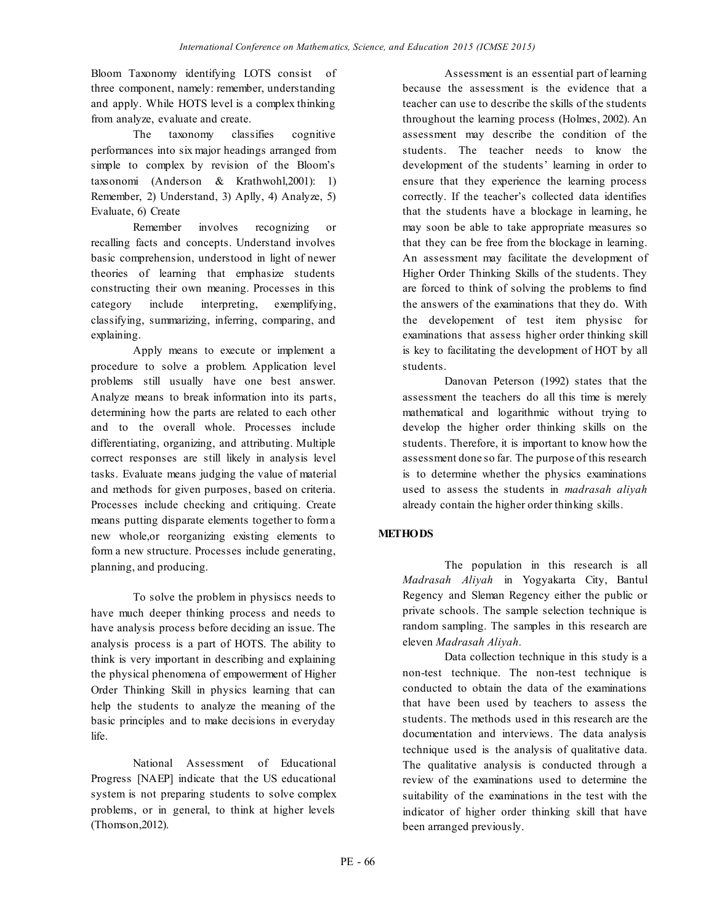Bloom Taxonomy identifying LOTS consist of three component, namely: remember, understanding and apply. While HOTS level is a complex thinking from analyze, evaluate and create.

The taxonomy classifies cognitive performances into six major headings arranged from simple to complex by revision of the Bloom's taxsonomi (Anderson & Krathwohl,2001): 1) Remember, 2) Understand, 3) Aplly, 4) Analyze, 5) Evaluate, 6) Create

Remember involves recognizing or recalling facts and concepts. Understand involves basic comprehension, understood in light of newer theories of learning that emphasize students constructing their own meaning. Processes in this category include interpreting, exemplifying, classifying, summarizing, inferring, comparing, and explaining.

Apply means to execute or implement a procedure to solve a problem. Application level problems still usually have one best answer. Analyze means to break information into its parts, determining how the parts are related to each other and to the overall whole. Processes include differentiating, organizing, and attributing. Multiple correct responses are still likely in analysis level tasks. Evaluate means judging the value of material and methods for given purposes, based on criteria. Processes include checking and critiquing. Create means putting disparate elements together to form a new whole,or reorganizing existing elements to form a new structure. Processes include generating, planning, and producing.

To solve the problem in physiscs needs to have much deeper thinking process and needs to have analysis process before deciding an issue. The analysis process is a part of HOTS. The ability to think is very important in describing and explaining the physical phenomena of empowerment of Higher Order Thinking Skill in physics learning that can help the students to analyze the meaning of the basic principles and to make decisions in everyday life.

National Assessment of Educational Progress [NAEP] indicate that the US educational system is not preparing students to solve complex problems, or in general, to think at higher levels (Thomson,2012).

Assessment is an essential part of learning because the assessment is the evidence that a teacher can use to describe the skills of the students throughout the learning process (Holmes, 2002). An assessment may describe the condition of the students. The teacher needs to know the development of the students' learning in order to ensure that they experience the learning process correctly. If the teacher's collected data identifies that the students have a blockage in learning, he may soon be able to take appropriate measures so that they can be free from the blockage in learning. An assessment may facilitate the development of Higher Order Thinking Skills of the students. They are forced to think of solving the problems to find the answers of the examinations that they do. With the developement of test item physisc for examinations that assess higher order thinking skill is key to facilitating the development of HOT by all students.

Danovan Peterson (1992) states that the assessment the teachers do all this time is merely mathematical and logarithmic without trying to develop the higher order thinking skills on the students. Therefore, it is important to know how the assessment done so far. The purpose of this research is to determine whether the physics examinations used to assess the students in *madrasah aliyah* already contain the higher order thinking skills.

# **METHODS**

The population in this research is all *Madrasah Aliyah* in Yogyakarta City, Bantul Regency and Sleman Regency either the public or private schools. The sample selection technique is random sampling. The samples in this research are eleven *Madrasah Aliyah.*

Data collection technique in this study is a non-test technique. The non-test technique is conducted to obtain the data of the examinations that have been used by teachers to assess the students. The methods used in this research are the documentation and interviews. The data analysis technique used is the analysis of qualitative data. The qualitative analysis is conducted through a review of the examinations used to determine the suitability of the examinations in the test with the indicator of higher order thinking skill that have been arranged previously.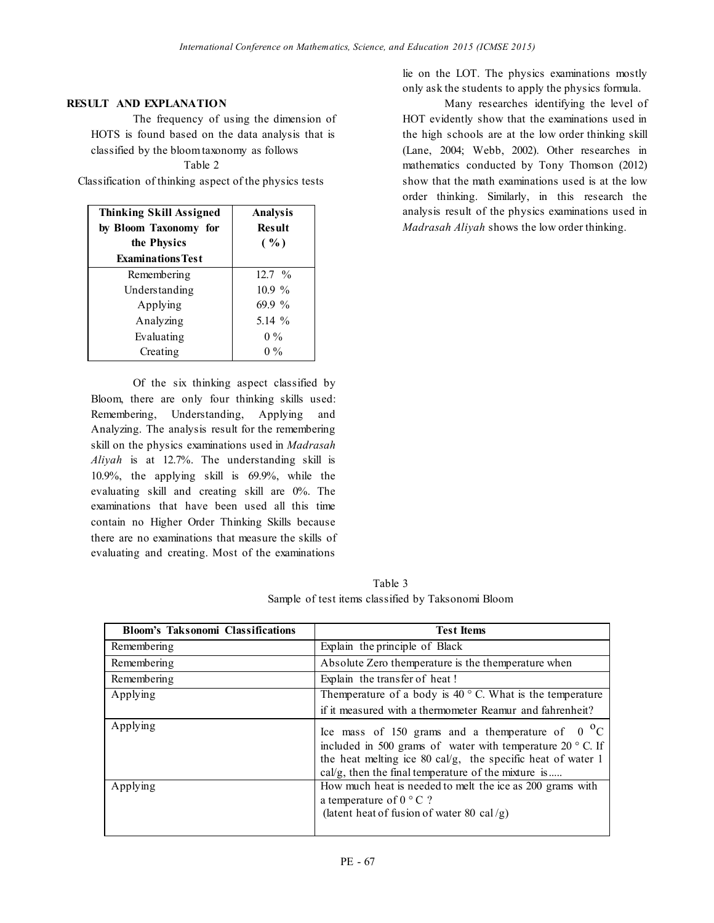### **RESULT AND EXPLANATION**

The frequency of using the dimension of HOTS is found based on the data analysis that is classified by the bloom taxonomy as follows Table 2

Classification of thinking aspect of the physics tests

| <b>Thinking Skill Assigned</b><br>by Bloom Taxonomy for<br>the Physics<br><b>Examinations Test</b> | Analysis<br><b>Result</b><br>( %) |
|----------------------------------------------------------------------------------------------------|-----------------------------------|
| Remembering                                                                                        | 12.7 %                            |
| Understanding                                                                                      | 10.9 %                            |
| Applying                                                                                           | 69.9 %                            |
| Analyzing                                                                                          | 5.14 %                            |
| Evaluating                                                                                         | $0\%$                             |
| Creating                                                                                           | $\frac{0}{0}$                     |

Of the six thinking aspect classified by Bloom, there are only four thinking skills used: Remembering, Understanding, Applying and Analyzing. The analysis result for the remembering skill on the physics examinations used in *Madrasah Aliyah* is at 12.7%. The understanding skill is 10.9%, the applying skill is 69.9%, while the evaluating skill and creating skill are 0%. The examinations that have been used all this time contain no Higher Order Thinking Skills because there are no examinations that measure the skills of evaluating and creating. Most of the examinations

lie on the LOT. The physics examinations mostly only ask the students to apply the physics formula.

Many researches identifying the level of HOT evidently show that the examinations used in the high schools are at the low order thinking skill (Lane, 2004; Webb, 2002). Other researches in mathematics conducted by Tony Thomson (2012) show that the math examinations used is at the low order thinking. Similarly, in this research the analysis result of the physics examinations used in *Madrasah Aliyah* shows the low order thinking.

Table 3 Sample of test items classified by Taksonomi Bloom

| <b>Bloom's Taksonomi Classifications</b> | <b>Test Items</b>                                                                                                                                                                                                                             |
|------------------------------------------|-----------------------------------------------------------------------------------------------------------------------------------------------------------------------------------------------------------------------------------------------|
| Remembering                              | Explain the principle of Black                                                                                                                                                                                                                |
| Remembering                              | Absolute Zero themperature is the themperature when                                                                                                                                                                                           |
| Remembering                              | Explain the transfer of heat!                                                                                                                                                                                                                 |
| Applying                                 | Themperature of a body is $40^{\circ}$ C. What is the temperature                                                                                                                                                                             |
|                                          | if it measured with a thermometer Reamur and fahrenheit?                                                                                                                                                                                      |
| Applying                                 | Ice mass of 150 grams and a themperature of $0oC$<br>included in 500 grams of water with temperature $20^{\circ}$ C. If<br>the heat melting ice 80 cal/g, the specific heat of water 1<br>cal/g, then the final temperature of the mixture is |
| Applying                                 | How much heat is needed to melt the ice as 200 grams with<br>a temperature of $0 \degree$ C ?<br>(latent heat of fusion of water 80 cal/g)                                                                                                    |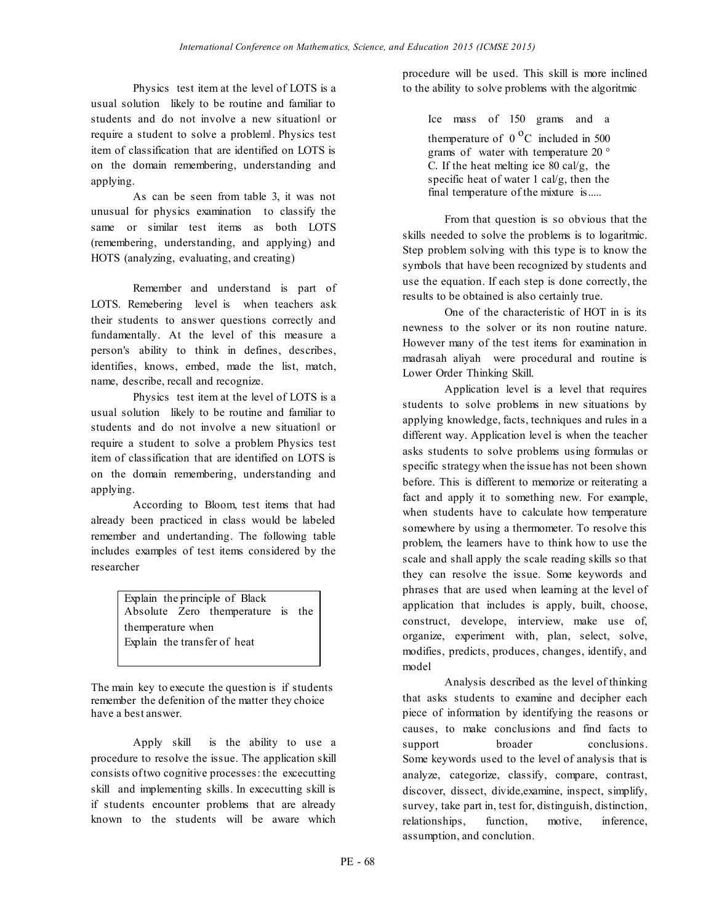Physics test item at the level of LOTS is a usual solution likely to be routine and familiar to students and do not involve a new situation‖ or require a student to solve a problem‖. Physics test item of classification that are identified on LOTS is on the domain remembering, understanding and applying.

As can be seen from table 3, it was not unusual for physics examination to classify the same or similar test items as both LOTS (remembering, understanding, and applying) and HOTS (analyzing, evaluating, and creating)

Remember and understand is part of LOTS. Remebering level is when teachers ask their students to answer questions correctly and fundamentally. At the level of this measure a person's ability to think in defines, describes, identifies, knows, embed, made the list, match, name, describe, recall and recognize.

Physics test item at the level of LOTS is a usual solution likely to be routine and familiar to students and do not involve a new situation‖ or require a student to solve a problem Physics test item of classification that are identified on LOTS is on the domain remembering, understanding and applying.

According to Bloom, test items that had already been practiced in class would be labeled remember and undertanding. The following table includes examples of test items considered by the researcher

> Explain the principle of Black Absolute Zero themperature is the themperature when Explain the transfer of heat

The main key to execute the question is if students remember the defenition of the matter they choice have a best answer.

Apply skill is the ability to use a procedure to resolve the issue. The application skill consists oftwo cognitive processes: the excecutting skill and implementing skills. In excecutting skill is if students encounter problems that are already known to the students will be aware which procedure will be used. This skill is more inclined to the ability to solve problems with the algoritmic

Ice mass of 150 grams and a themperature of  $0<sup>o</sup>C$  included in 500 grams of water with temperature 20 ° C. If the heat melting ice 80 cal/g, the specific heat of water 1 cal/g, then the final temperature of the mixture is.....

From that question is so obvious that the skills needed to solve the problems is to logaritmic. Step problem solving with this type is to know the symbols that have been recognized by students and use the equation. If each step is done correctly, the results to be obtained is also certainly true.

One of the characteristic of HOT in is its newness to the solver or its non routine nature. However many of the test items for examination in madrasah aliyah were procedural and routine is Lower Order Thinking Skill.

Application level is a level that requires students to solve problems in new situations by applying knowledge, facts, techniques and rules in a different way. Application level is when the teacher asks students to solve problems using formulas or specific strategy when the issue has not been shown before. This is different to memorize or reiterating a fact and apply it to something new. For example, when students have to calculate how temperature somewhere by using a thermometer. To resolve this problem, the learners have to think how to use the scale and shall apply the scale reading skills so that they can resolve the issue. Some keywords and phrases that are used when learning at the level of application that includes is apply, built, choose, construct, develope, interview, make use of, organize, experiment with, plan, select, solve, modifies, predicts, produces, changes, identify, and model

Analysis described as the level of thinking that asks students to examine and decipher each piece of information by identifying the reasons or causes, to make conclusions and find facts to support broader conclusions. Some keywords used to the level of analysis that is analyze, categorize, classify, compare, contrast, discover, dissect, divide,examine, inspect, simplify, survey, take part in, test for, distinguish, distinction, relationships, function, motive, inference, assumption, and conclution.